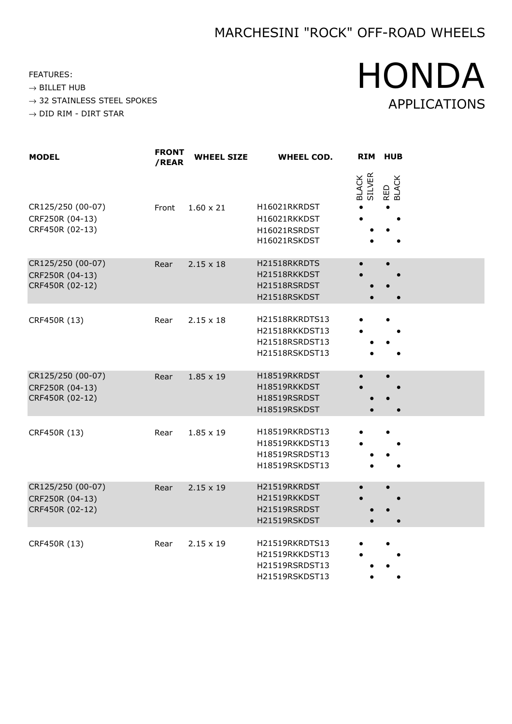FEATURES:

 $\rightarrow$  BILLET HUB

 $\rightarrow$  32 STAINLESS STEEL SPOKES

 $\rightarrow$  DID RIM - DIRT STAR

# HONDA APPLICATIONS

| <b>MODEL</b>                                            | <b>FRONT</b><br>/REAR | <b>WHEEL SIZE</b> | <b>WHEEL COD.</b>                                                    | <b>RIM</b>      | <b>HUB</b>   |
|---------------------------------------------------------|-----------------------|-------------------|----------------------------------------------------------------------|-----------------|--------------|
| CR125/250 (00-07)<br>CRF250R (04-13)<br>CRF450R (02-13) | Front                 | $1.60 \times 21$  | H16021RKRDST<br>H16021RKKDST<br>H16021RSRDST<br>H16021RSKDST         | BLACK<br>SILVER | RED<br>BLACK |
| CR125/250 (00-07)<br>CRF250R (04-13)<br>CRF450R (02-12) | Rear                  | $2.15 \times 18$  | H21518RKRDTS<br>H21518RKKDST<br>H21518RSRDST<br>H21518RSKDST         |                 |              |
| CRF450R (13)                                            | Rear                  | $2.15 \times 18$  | H21518RKRDTS13<br>H21518RKKDST13<br>H21518RSRDST13<br>H21518RSKDST13 |                 |              |
| CR125/250 (00-07)<br>CRF250R (04-13)<br>CRF450R (02-12) | Rear                  | $1.85 \times 19$  | H18519RKRDST<br>H18519RKKDST<br>H18519RSRDST<br>H18519RSKDST         |                 |              |
| CRF450R (13)                                            | Rear                  | $1.85 \times 19$  | H18519RKRDST13<br>H18519RKKDST13<br>H18519RSRDST13<br>H18519RSKDST13 |                 |              |
| CR125/250 (00-07)<br>CRF250R (04-13)<br>CRF450R (02-12) | Rear                  | $2.15 \times 19$  | H21519RKRDST<br>H21519RKKDST<br>H21519RSRDST<br>H21519RSKDST         |                 |              |
| CRF450R (13)                                            | Rear                  | $2.15 \times 19$  | H21519RKRDTS13<br>H21519RKKDST13<br>H21519RSRDST13<br>H21519RSKDST13 |                 |              |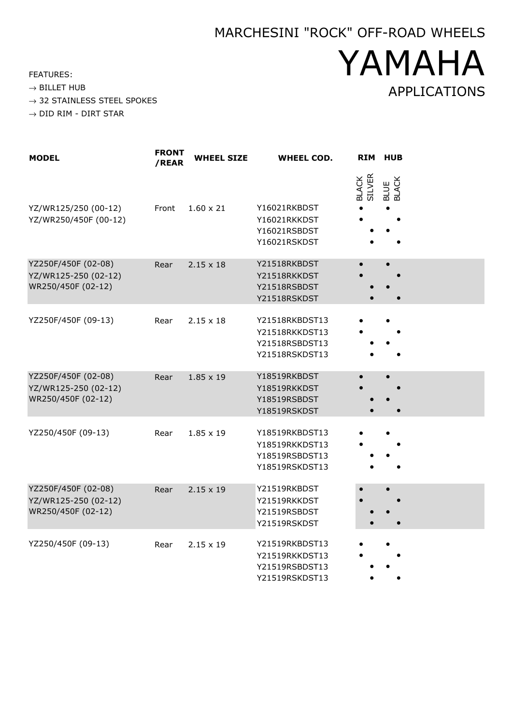YAMAHA

APPLICATIONS

FEATURES:

- $\rightarrow$  32 STAINLESS STEEL SPOKES
- $\rightarrow$  DID RIM DIRT STAR

| <b>MODEL</b>                                                      | <b>FRONT</b><br>/REAR | <b>WHEEL SIZE</b> | <b>WHEEL COD.</b>                                                    |                        | RIM HUB       |
|-------------------------------------------------------------------|-----------------------|-------------------|----------------------------------------------------------------------|------------------------|---------------|
| YZ/WR125/250 (00-12)<br>YZ/WR250/450F (00-12)                     | Front                 | $1.60 \times 21$  | Y16021RKBDST<br>Y16021RKKDST<br>Y16021RSBDST<br>Y16021RSKDST         | <b>BLACK</b><br>SILVER | BLUE<br>BLACK |
| YZ250F/450F (02-08)<br>YZ/WR125-250 (02-12)<br>WR250/450F (02-12) | Rear                  | $2.15 \times 18$  | Y21518RKBDST<br>Y21518RKKDST<br>Y21518RSBDST<br>Y21518RSKDST         |                        |               |
| YZ250F/450F (09-13)                                               | Rear                  | $2.15 \times 18$  | Y21518RKBDST13<br>Y21518RKKDST13<br>Y21518RSBDST13<br>Y21518RSKDST13 |                        |               |
| YZ250F/450F (02-08)<br>YZ/WR125-250 (02-12)<br>WR250/450F (02-12) | Rear                  | $1.85 \times 19$  | Y18519RKBDST<br>Y18519RKKDST<br>Y18519RSBDST<br>Y18519RSKDST         |                        |               |
| YZ250/450F (09-13)                                                | Rear                  | $1.85 \times 19$  | Y18519RKBDST13<br>Y18519RKKDST13<br>Y18519RSBDST13<br>Y18519RSKDST13 |                        |               |
| YZ250F/450F (02-08)<br>YZ/WR125-250 (02-12)<br>WR250/450F (02-12) | Rear                  | $2.15 \times 19$  | Y21519RKBDST<br>Y21519RKKDST<br>Y21519RSBDST<br>Y21519RSKDST         |                        |               |
| YZ250/450F (09-13)                                                | Rear                  | $2.15 \times 19$  | Y21519RKBDST13<br>Y21519RKKDST13<br>Y21519RSBDST13<br>Y21519RSKDST13 |                        |               |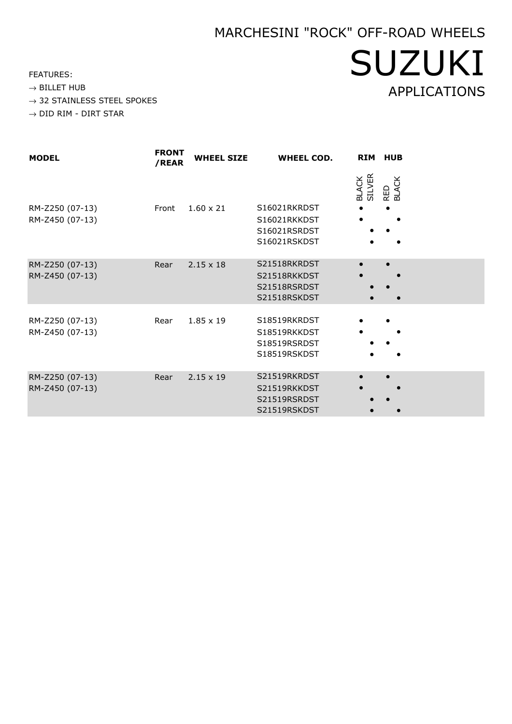SUZUKI

APPLICATIONS

FEATURES:

- $\rightarrow$  32 STAINLESS STEEL SPOKES
- $\rightarrow$  DID RIM DIRT STAR

| <b>MODEL</b>                       | <b>FRONT</b><br>/REAR | <b>WHEEL SIZE</b> | <b>WHEEL COD.</b>                                            |                        | RIM HUB      |
|------------------------------------|-----------------------|-------------------|--------------------------------------------------------------|------------------------|--------------|
| RM-Z250 (07-13)<br>RM-Z450 (07-13) | Front                 | $1.60 \times 21$  | S16021RKRDST<br>S16021RKKDST<br>S16021RSRDST<br>S16021RSKDST | <b>BLACK</b><br>SILVER | RED<br>BLACK |
| RM-Z250 (07-13)<br>RM-Z450 (07-13) | Rear                  | $2.15 \times 18$  | S21518RKRDST<br>S21518RKKDST<br>S21518RSRDST<br>S21518RSKDST |                        |              |
| RM-Z250 (07-13)<br>RM-Z450 (07-13) | Rear                  | $1.85 \times 19$  | S18519RKRDST<br>S18519RKKDST<br>S18519RSRDST<br>S18519RSKDST |                        |              |
| RM-Z250 (07-13)<br>RM-Z450 (07-13) | Rear                  | $2.15 \times 19$  | S21519RKRDST<br>S21519RKKDST<br>S21519RSRDST<br>S21519RSKDST |                        |              |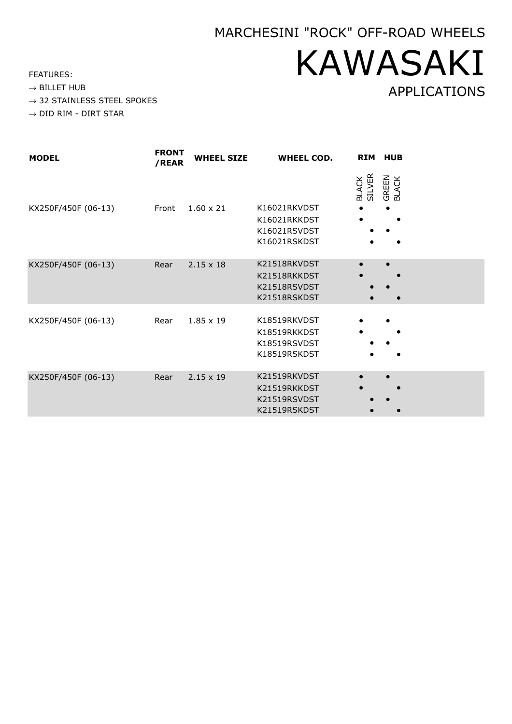# MARCHESINI "ROCK" OFF-ROAD WHEELS KAWASAKI APPLICATIONS

FEATURES:

- $\rightarrow$  32 STAINLESS STEEL SPOKES
- $\rightarrow$  DID RIM DIRT STAR

| <b>MODEL</b>        | <b>FRONT</b><br>/REAR | <b>WHEEL SIZE</b> | <b>WHEEL COD.</b>                                            | <b>RIM</b>                    | <b>HUB</b>             |
|---------------------|-----------------------|-------------------|--------------------------------------------------------------|-------------------------------|------------------------|
| KX250F/450F (06-13) | Front                 | $1.60 \times 21$  | K16021RKVDST<br>K16021RKKDST<br>K16021RSVDST<br>K16021RSKDST | <b>SILVER</b><br><b>BLACK</b> | <b>GREEN<br/>BLACK</b> |
| KX250F/450F (06-13) | Rear                  | $2.15 \times 18$  | K21518RKVDST<br>K21518RKKDST<br>K21518RSVDST<br>K21518RSKDST |                               |                        |
| KX250F/450F (06-13) | Rear                  | $1.85 \times 19$  | K18519RKVDST<br>K18519RKKDST<br>K18519RSVDST<br>K18519RSKDST |                               |                        |
| KX250F/450F (06-13) | Rear                  | $2.15 \times 19$  | K21519RKVDST<br>K21519RKKDST<br>K21519RSVDST<br>K21519RSKDST | $\bullet$                     |                        |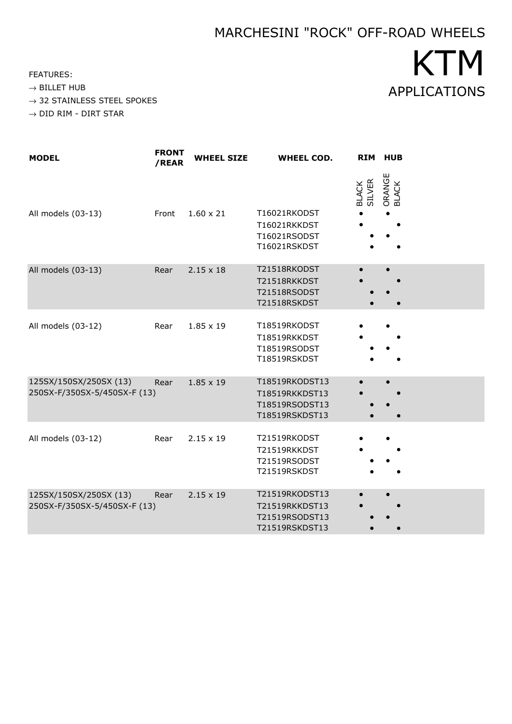FEATURES:

 $\rightarrow$  BILLET HUB

 $\rightarrow$  32 STAINLESS STEEL SPOKES

 $\rightarrow$  DID RIM - DIRT STAR

| <b>MODEL</b>                                           | <b>FRONT</b><br>/REAR | <b>WHEEL SIZE</b> | <b>WHEEL COD.</b>                                                            |                               | RIM HUB         |
|--------------------------------------------------------|-----------------------|-------------------|------------------------------------------------------------------------------|-------------------------------|-----------------|
| All models (03-13)                                     | Front                 | $1.60 \times 21$  | T16021RKODST<br>T16021RKKDST<br>T16021RSODST                                 | <b>SILVER</b><br><b>BLACK</b> | ORANGE<br>BLACK |
| All models (03-13)                                     | Rear                  | $2.15 \times 18$  | T16021RSKDST<br>T21518RKODST<br>T21518RKKDST<br>T21518RSODST<br>T21518RSKDST |                               |                 |
| All models (03-12)                                     | Rear                  | $1.85 \times 19$  | T18519RKODST<br>T18519RKKDST<br>T18519RSODST<br>T18519RSKDST                 |                               |                 |
| 125SX/150SX/250SX (13)<br>250SX-F/350SX-5/450SX-F (13) | Rear                  | $1.85 \times 19$  | T18519RKODST13<br>T18519RKKDST13<br>T18519RSODST13<br>T18519RSKDST13         |                               |                 |
| All models (03-12)                                     | Rear                  | $2.15 \times 19$  | T21519RKODST<br>T21519RKKDST<br>T21519RSODST<br>T21519RSKDST                 |                               |                 |
| 125SX/150SX/250SX (13)<br>250SX-F/350SX-5/450SX-F (13) | Rear                  | $2.15 \times 19$  | T21519RKODST13<br>T21519RKKDST13<br>T21519RSODST13<br>T21519RSKDST13         |                               |                 |